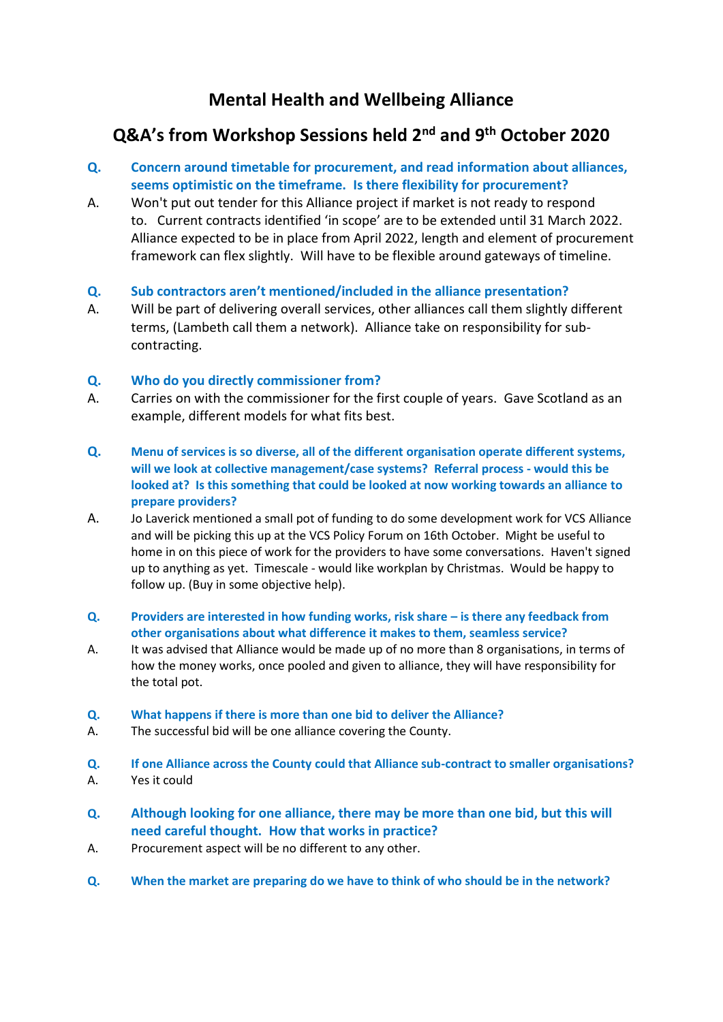# **Mental Health and Wellbeing Alliance**

# **Q&A's from Workshop Sessions held 2nd and 9th October 2020**

- **Q. Concern around timetable for procurement, and read information about alliances, seems optimistic on the timeframe. Is there flexibility for procurement?**
- A. Won't put out tender for this Alliance project if market is not ready to respond to. Current contracts identified 'in scope' are to be extended until 31 March 2022. Alliance expected to be in place from April 2022, length and element of procurement framework can flex slightly. Will have to be flexible around gateways of timeline.
- **Q. Sub contractors aren't mentioned/included in the alliance presentation?**
- A. Will be part of delivering overall services, other alliances call them slightly different terms, (Lambeth call them a network). Alliance take on responsibility for subcontracting.

## **Q. Who do you directly commissioner from?**

- A. Carries on with the commissioner for the first couple of years. Gave Scotland as an example, different models for what fits best.
- **Q. Menu of services is so diverse, all of the different organisation operate different systems, will we look at collective management/case systems? Referral process - would this be looked at? Is this something that could be looked at now working towards an alliance to prepare providers?**
- A. Jo Laverick mentioned a small pot of funding to do some development work for VCS Alliance and will be picking this up at the VCS Policy Forum on 16th October. Might be useful to home in on this piece of work for the providers to have some conversations. Haven't signed up to anything as yet. Timescale - would like workplan by Christmas. Would be happy to follow up. (Buy in some objective help).
- **Q. Providers are interested in how funding works, risk share – is there any feedback from other organisations about what difference it makes to them, seamless service?**
- A. It was advised that Alliance would be made up of no more than 8 organisations, in terms of how the money works, once pooled and given to alliance, they will have responsibility for the total pot.
- **Q. What happens if there is more than one bid to deliver the Alliance?**
- A. The successful bid will be one alliance covering the County.
- **Q. If one Alliance across the County could that Alliance sub-contract to smaller organisations?** A. Yes it could
- **Q. Although looking for one alliance, there may be more than one bid, but this will need careful thought. How that works in practice?**
- A. Procurement aspect will be no different to any other.
- **Q. When the market are preparing do we have to think of who should be in the network?**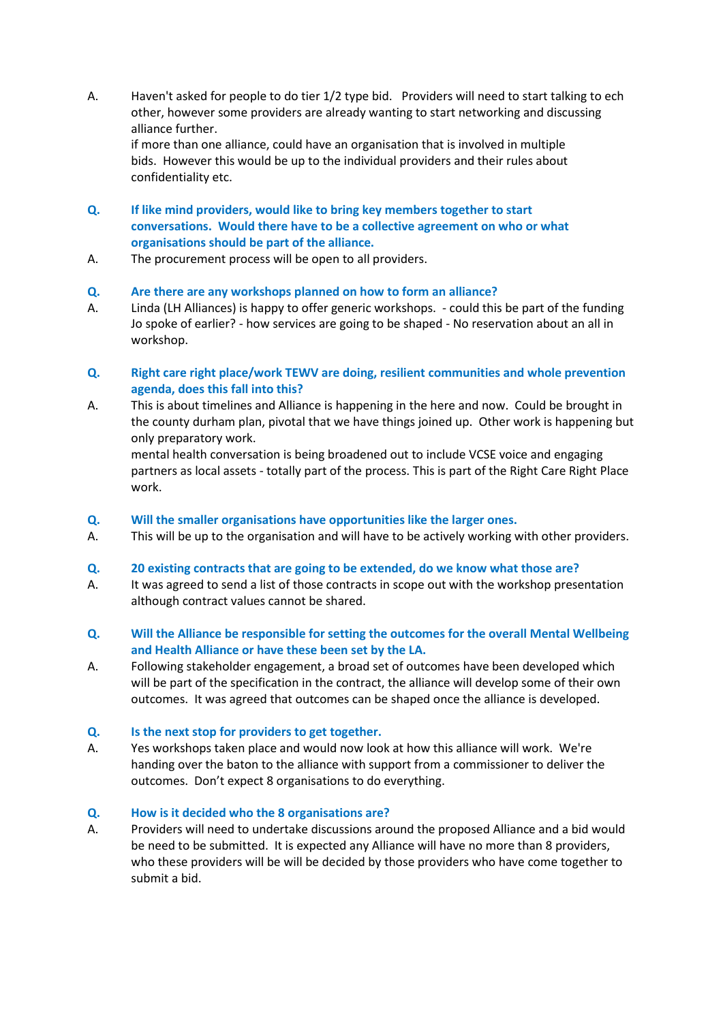A. Haven't asked for people to do tier 1/2 type bid. Providers will need to start talking to ech other, however some providers are already wanting to start networking and discussing alliance further.

if more than one alliance, could have an organisation that is involved in multiple bids. However this would be up to the individual providers and their rules about confidentiality etc.

- **Q. If like mind providers, would like to bring key members together to start conversations. Would there have to be a collective agreement on who or what organisations should be part of the alliance.**
- A. The procurement process will be open to all providers.

### **Q. Are there are any workshops planned on how to form an alliance?**

- A. Linda (LH Alliances) is happy to offer generic workshops. could this be part of the funding Jo spoke of earlier? - how services are going to be shaped - No reservation about an all in workshop.
- **Q. Right care right place/work TEWV are doing, resilient communities and whole prevention agenda, does this fall into this?**
- A. This is about timelines and Alliance is happening in the here and now. Could be brought in the county durham plan, pivotal that we have things joined up. Other work is happening but only preparatory work.

mental health conversation is being broadened out to include VCSE voice and engaging partners as local assets - totally part of the process. This is part of the Right Care Right Place work.

#### **Q. Will the smaller organisations have opportunities like the larger ones.**

A. This will be up to the organisation and will have to be actively working with other providers.

#### **Q. 20 existing contracts that are going to be extended, do we know what those are?**

- A. It was agreed to send a list of those contracts in scope out with the workshop presentation although contract values cannot be shared.
- **Q. Will the Alliance be responsible for setting the outcomes for the overall Mental Wellbeing and Health Alliance or have these been set by the LA.**
- A. Following stakeholder engagement, a broad set of outcomes have been developed which will be part of the specification in the contract, the alliance will develop some of their own outcomes. It was agreed that outcomes can be shaped once the alliance is developed.

#### **Q. Is the next stop for providers to get together.**

A. Yes workshops taken place and would now look at how this alliance will work. We're handing over the baton to the alliance with support from a commissioner to deliver the outcomes. Don't expect 8 organisations to do everything.

#### **Q. How is it decided who the 8 organisations are?**

A. Providers will need to undertake discussions around the proposed Alliance and a bid would be need to be submitted. It is expected any Alliance will have no more than 8 providers, who these providers will be will be decided by those providers who have come together to submit a bid.